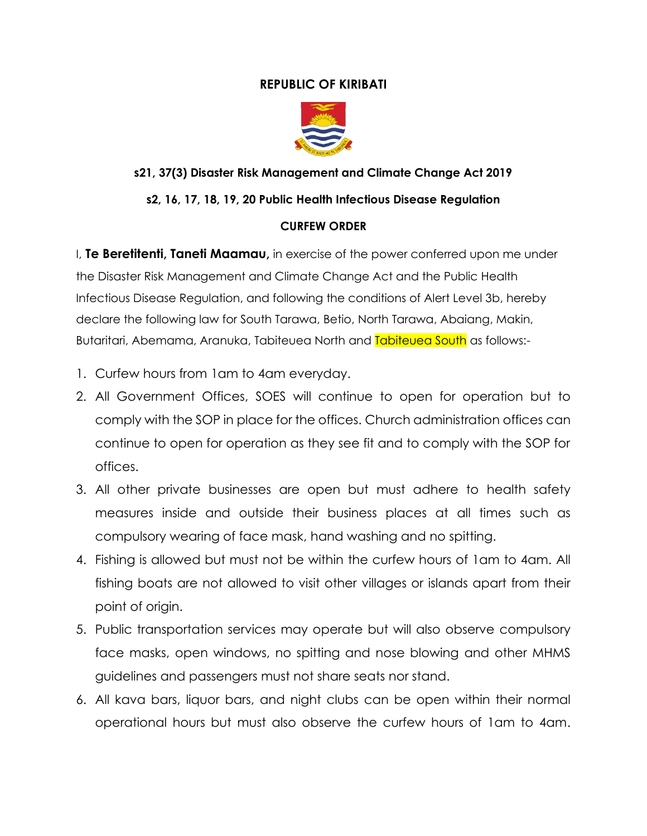## **REPUBLIC OF KIRIBATI**



# **s21, 37(3) Disaster Risk Management and Climate Change Act 2019**

# **s2, 16, 17, 18, 19, 20 Public Health Infectious Disease Regulation**

#### **CURFEW ORDER**

I, **Te Beretitenti, Taneti Maamau,** in exercise of the power conferred upon me under the Disaster Risk Management and Climate Change Act and the Public Health Infectious Disease Regulation, and following the conditions of Alert Level 3b, hereby declare the following law for South Tarawa, Betio, North Tarawa, Abaiang, Makin, Butaritari, Abemama, Aranuka, Tabiteuea North and Tabiteuea South as follows:-

- 1. Curfew hours from 1am to 4am everyday.
- 2. All Government Offices, SOES will continue to open for operation but to comply with the SOP in place for the offices. Church administration offices can continue to open for operation as they see fit and to comply with the SOP for offices.
- 3. All other private businesses are open but must adhere to health safety measures inside and outside their business places at all times such as compulsory wearing of face mask, hand washing and no spitting.
- 4. Fishing is allowed but must not be within the curfew hours of 1am to 4am. All fishing boats are not allowed to visit other villages or islands apart from their point of origin.
- 5. Public transportation services may operate but will also observe compulsory face masks, open windows, no spitting and nose blowing and other MHMS guidelines and passengers must not share seats nor stand.
- 6. All kava bars, liquor bars, and night clubs can be open within their normal operational hours but must also observe the curfew hours of 1am to 4am.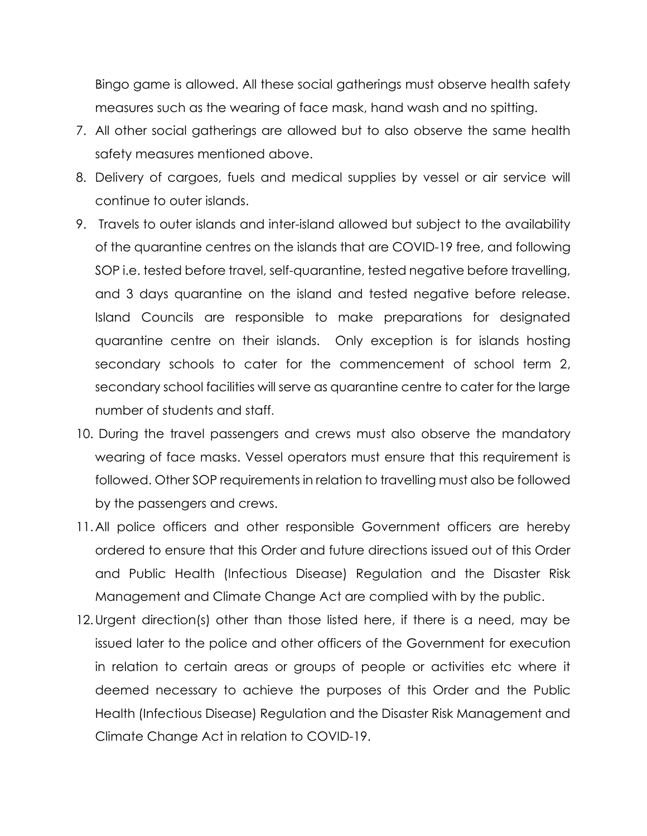Bingo game is allowed. All these social gatherings must observe health safety measures such as the wearing of face mask, hand wash and no spitting.

- 7. All other social gatherings are allowed but to also observe the same health safety measures mentioned above.
- 8. Delivery of cargoes, fuels and medical supplies by vessel or air service will continue to outer islands.
- 9. Travels to outer islands and inter-island allowed but subject to the availability of the quarantine centres on the islands that are COVID-19 free, and following SOP i.e. tested before travel, self-quarantine, tested negative before travelling, and 3 days quarantine on the island and tested negative before release. Island Councils are responsible to make preparations for designated quarantine centre on their islands. Only exception is for islands hosting secondary schools to cater for the commencement of school term 2, secondary school facilities will serve as quarantine centre to cater for the large number of students and staff.
- 10. During the travel passengers and crews must also observe the mandatory wearing of face masks. Vessel operators must ensure that this requirement is followed. Other SOP requirements in relation to travelling must also be followed by the passengers and crews.
- 11.All police officers and other responsible Government officers are hereby ordered to ensure that this Order and future directions issued out of this Order and Public Health (Infectious Disease) Regulation and the Disaster Risk Management and Climate Change Act are complied with by the public.
- 12.Urgent direction(s) other than those listed here, if there is a need, may be issued later to the police and other officers of the Government for execution in relation to certain areas or groups of people or activities etc where it deemed necessary to achieve the purposes of this Order and the Public Health (Infectious Disease) Regulation and the Disaster Risk Management and Climate Change Act in relation to COVID-19.